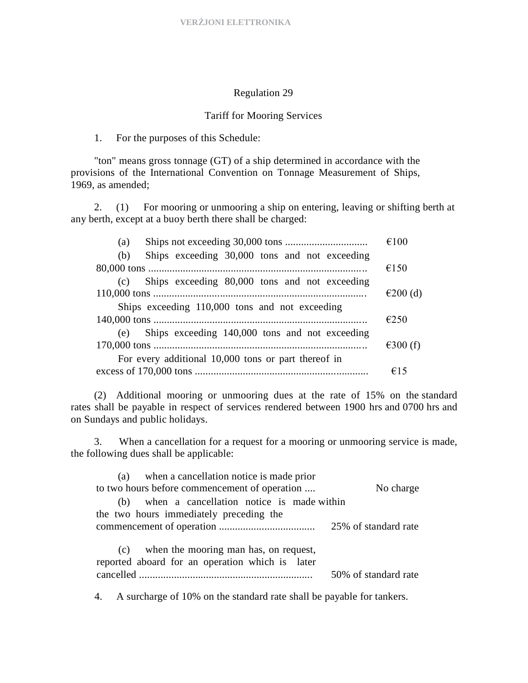## Regulation 29

## Tariff for Mooring Services

1. For the purposes of this Schedule:

"ton" means gross tonnage (GT) of a ship determined in accordance with the provisions of the International Convention on Tonnage Measurement of Ships, 1969, as amended;

2. (1) For mooring or unmooring a ship on entering, leaving or shifting berth at any berth, except at a buoy berth there shall be charged:

| (a)                                                  | €100       |
|------------------------------------------------------|------------|
| Ships exceeding 30,000 tons and not exceeding<br>(b) |            |
|                                                      | €150       |
| Ships exceeding 80,000 tons and not exceeding<br>(c) |            |
|                                                      | €200 $(d)$ |
| Ships exceeding 110,000 tons and not exceeding       |            |
|                                                      | E250       |
| (e) Ships exceeding 140,000 tons and not exceeding   |            |
|                                                      | €300 $(f)$ |
| For every additional 10,000 tons or part thereof in  |            |
|                                                      | €15        |

(2) Additional mooring or unmooring dues at the rate of 15% on the standard rates shall be payable in respect of services rendered between 1900 hrs and 0700 hrs and on Sundays and public holidays.

3. When a cancellation for a request for a mooring or unmooring service is made, the following dues shall be applicable:

| (a) when a cancellation notice is made prior                                                 |                      |
|----------------------------------------------------------------------------------------------|----------------------|
| to two hours before commencement of operation                                                | No charge            |
| (b) when a cancellation notice is made within                                                |                      |
| the two hours immediately preceding the                                                      |                      |
|                                                                                              |                      |
| (c) when the mooring man has, on request,<br>reported aboard for an operation which is later | 50% of standard rate |

4. A surcharge of 10% on the standard rate shall be payable for tankers.